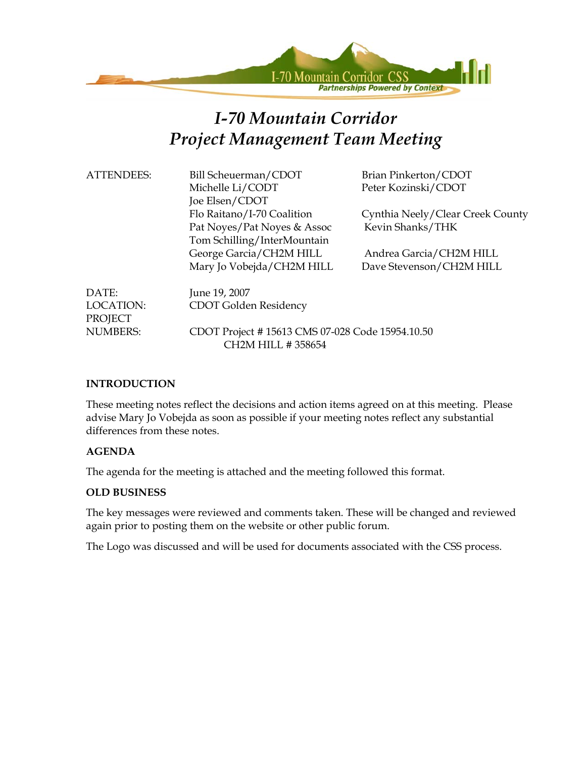

# *I-70 Mountain Corridor Project Management Team Meeting*

| <b>ATTENDEES:</b>             | Bill Scheuerman/CDOT<br>Michelle Li/CODT<br>Joe Elsen/CDOT                               | Brian Pinkerton/CDOT<br>Peter Kozinski/CDOT          |  |
|-------------------------------|------------------------------------------------------------------------------------------|------------------------------------------------------|--|
|                               | Flo Raitano/I-70 Coalition<br>Pat Noyes/Pat Noyes & Assoc<br>Tom Schilling/InterMountain | Cynthia Neely/Clear Creek County<br>Kevin Shanks/THK |  |
|                               | George Garcia/CH2M HILL<br>Mary Jo Vobejda/CH2M HILL                                     | Andrea Garcia/CH2M HILL<br>Dave Stevenson/CH2M HILL  |  |
| DATE:<br>LOCATION:<br>PROJECT | June 19, 2007<br>CDOT Golden Residency                                                   |                                                      |  |
| <b>NUMBERS:</b>               | CDOT Project #15613 CMS 07-028 Code 15954.10.50                                          |                                                      |  |

#### **INTRODUCTION**

These meeting notes reflect the decisions and action items agreed on at this meeting. Please advise Mary Jo Vobejda as soon as possible if your meeting notes reflect any substantial differences from these notes.

#### **AGENDA**

The agenda for the meeting is attached and the meeting followed this format.

CH2M HILL # 358654

#### **OLD BUSINESS**

The key messages were reviewed and comments taken. These will be changed and reviewed again prior to posting them on the website or other public forum.

The Logo was discussed and will be used for documents associated with the CSS process.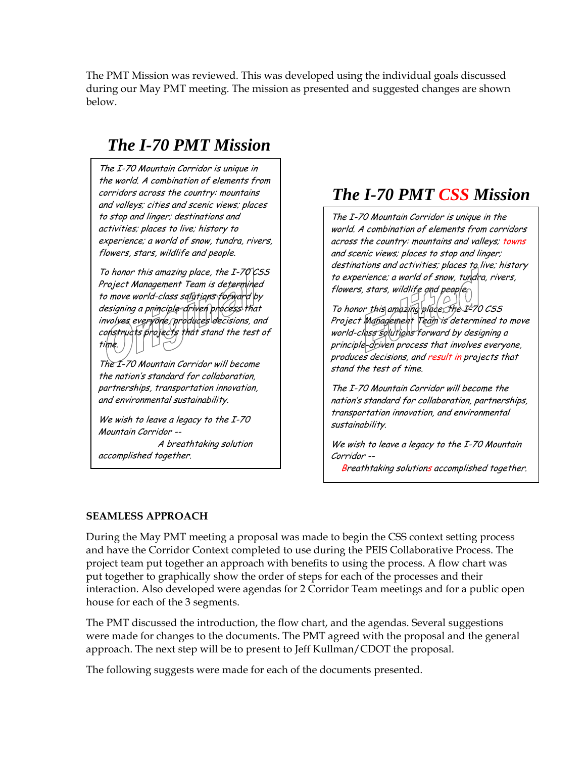The PMT Mission was reviewed. This was developed using the individual goals discussed during our May PMT meeting. The mission as presented and suggested changes are shown below.

# *The I-70 PMT Mission*

The I-70 Mountain Corridor is unique in the world. A combination of elements from corridors across the country: mountains and valleys; cities and scenic views; places to stop and linger; destinations and activities; places to live; history to experience; a world of snow, tundra, rivers, flowers, stars, wildlife and people.

To honor this amazing place, the I-70 CSS Project Management Team is determined to move world-class solutions forward by designing a principle-driven process that involves everyone, produces decisions, and constructs projects that stand the test of  $\cup$ time.

The I-70 Mountain Corridor will become the nation's standard for collaboration, partnerships, transportation innovation, and environmental sustainability.

We wish to leave a legacy to the I-70 Mountain Corridor --

 A breathtaking solution accomplished together.

# *The I-70 PMT CSS Mission*

The I-70 Mountain Corridor is unique in the world. A combination of elements from corridors across the country: mountains and valleys; towns and scenic views; places to stop and linger; destinations and activities; places to live; history to experience; a world of snow, tundra, rivers, flowers, stars, wildlife and people $\cap$ 

To honor this amazing place, the  $I^2$ 70 CSS Project Management Team is determined to move world-class solutions forward by designing a principle-driven process that involves everyone, produces decisions, and result in projects that stand the test of time.

The I-70 Mountain Corridor will become the nation's standard for collaboration, partnerships, transportation innovation, and environmental sustainability.

We wish to leave a legacy to the I-70 Mountain Corridor --

**Breathtaking solutions accomplished together.** 

### **SEAMLESS APPROACH**

During the May PMT meeting a proposal was made to begin the CSS context setting process and have the Corridor Context completed to use during the PEIS Collaborative Process. The project team put together an approach with benefits to using the process. A flow chart was put together to graphically show the order of steps for each of the processes and their interaction. Also developed were agendas for 2 Corridor Team meetings and for a public open house for each of the 3 segments.

The PMT discussed the introduction, the flow chart, and the agendas. Several suggestions were made for changes to the documents. The PMT agreed with the proposal and the general approach. The next step will be to present to Jeff Kullman/CDOT the proposal.

The following suggests were made for each of the documents presented.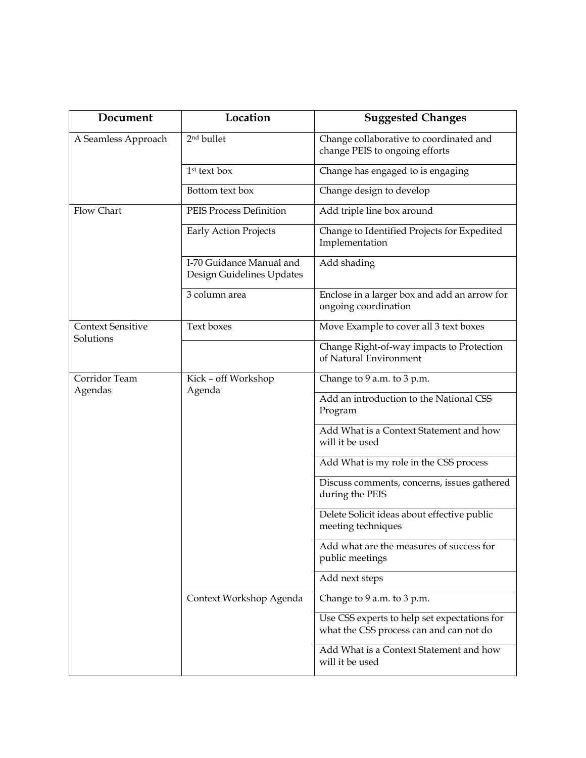| Document                 | Location                                              | <b>Suggested Changes</b>                                                                |  |
|--------------------------|-------------------------------------------------------|-----------------------------------------------------------------------------------------|--|
| A Seamless Approach      | 2 <sup>nd</sup> bullet                                | Change collaborative to coordinated and<br>change PEIS to ongoing efforts               |  |
|                          | 1 <sup>st</sup> text box                              | Change has engaged to is engaging                                                       |  |
|                          | Bottom text box                                       | Change design to develop                                                                |  |
| Flow Chart               | <b>PEIS Process Definition</b>                        | Add triple line box around                                                              |  |
|                          | <b>Early Action Projects</b>                          | Change to Identified Projects for Expedited<br>Implementation                           |  |
|                          | I-70 Guidance Manual and<br>Design Guidelines Updates | Add shading                                                                             |  |
|                          | 3 column area                                         | Enclose in a larger box and add an arrow for<br>ongoing coordination                    |  |
| <b>Context Sensitive</b> | Text boxes                                            | Move Example to cover all 3 text boxes                                                  |  |
| Solutions                |                                                       | Change Right-of-way impacts to Protection<br>of Natural Environment                     |  |
| Corridor Team            | Kick - off Workshop<br>Agenda                         | Change to 9 a.m. to 3 p.m.                                                              |  |
| Agendas                  |                                                       | Add an introduction to the National CSS<br>Program                                      |  |
|                          |                                                       | Add What is a Context Statement and how<br>will it be used                              |  |
|                          |                                                       | Add What is my role in the CSS process                                                  |  |
|                          |                                                       | Discuss comments, concerns, issues gathered<br>during the PEIS                          |  |
|                          |                                                       | Delete Solicit ideas about effective public<br>meeting techniques                       |  |
|                          |                                                       | Add what are the measures of success for<br>public meetings                             |  |
|                          |                                                       | Add next steps                                                                          |  |
|                          | Context Workshop Agenda                               | Change to 9 a.m. to 3 p.m.                                                              |  |
|                          |                                                       | Use CSS experts to help set expectations for<br>what the CSS process can and can not do |  |
|                          |                                                       | Add What is a Context Statement and how<br>will it be used                              |  |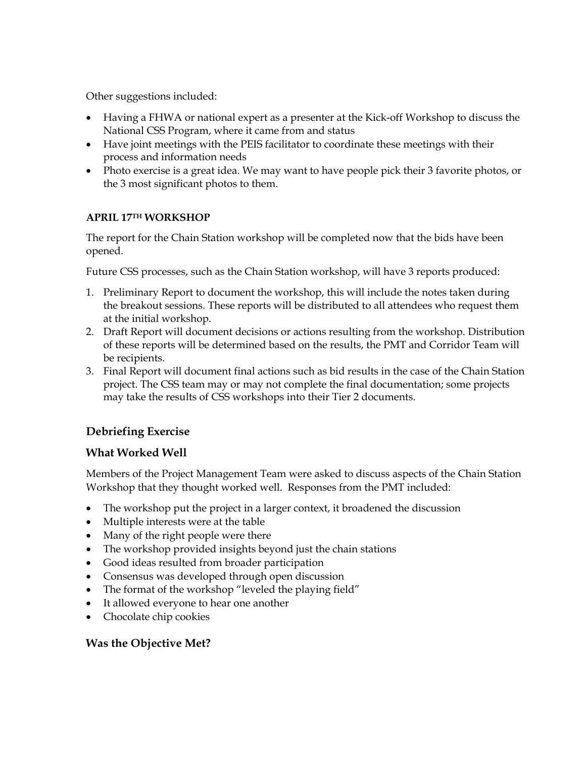Other suggestions included:

- Having a FHWA or national expert as a presenter at the Kick-off Workshop to discuss the National CSS Program, where it came from and status
- Have joint meetings with the PEIS facilitator to coordinate these meetings with their process and information needs
- Photo exercise is a great idea. We may want to have people pick their 3 favorite photos, or the 3 most significant photos to them.

#### **APRIL 17TH WORKSHOP**

The report for the Chain Station workshop will be completed now that the bids have been opened.

Future CSS processes, such as the Chain Station workshop, will have 3 reports produced:

- 1. Preliminary Report to document the workshop, this will include the notes taken during the breakout sessions. These reports will be distributed to all attendees who request them at the initial workshop.
- 2. Draft Report will document decisions or actions resulting from the workshop. Distribution of these reports will be determined based on the results, the PMT and Corridor Team will be recipients.
- 3. Final Report will document final actions such as bid results in the case of the Chain Station project. The CSS team may or may not complete the final documentation; some projects may take the results of CSS workshops into their Tier 2 documents.

# **Debriefing Exercise**

#### **What Worked Well**

Members of the Project Management Team were asked to discuss aspects of the Chain Station Workshop that they thought worked well. Responses from the PMT included:

- The workshop put the project in a larger context, it broadened the discussion
- Multiple interests were at the table
- Many of the right people were there
- The workshop provided insights beyond just the chain stations
- Good ideas resulted from broader participation
- Consensus was developed through open discussion
- The format of the workshop "leveled the playing field"
- It allowed everyone to hear one another
- Chocolate chip cookies

### **Was the Objective Met?**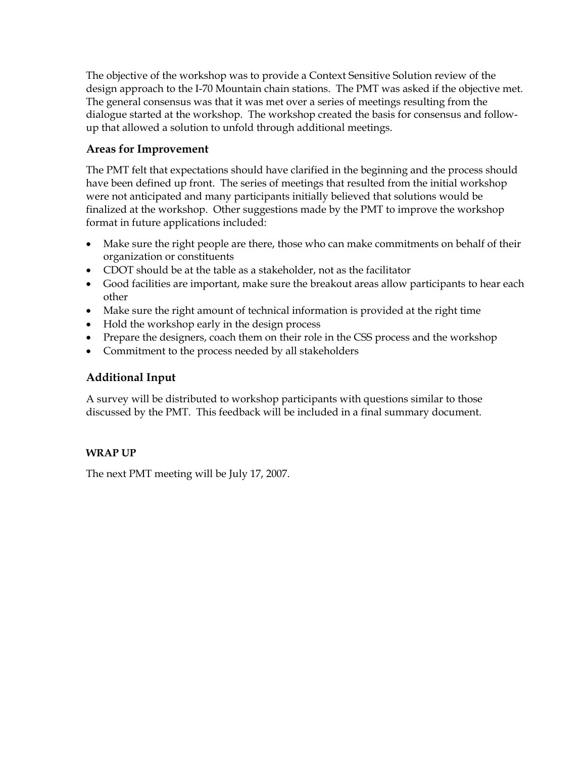The objective of the workshop was to provide a Context Sensitive Solution review of the design approach to the I-70 Mountain chain stations. The PMT was asked if the objective met. The general consensus was that it was met over a series of meetings resulting from the dialogue started at the workshop. The workshop created the basis for consensus and followup that allowed a solution to unfold through additional meetings.

#### **Areas for Improvement**

The PMT felt that expectations should have clarified in the beginning and the process should have been defined up front. The series of meetings that resulted from the initial workshop were not anticipated and many participants initially believed that solutions would be finalized at the workshop. Other suggestions made by the PMT to improve the workshop format in future applications included:

- Make sure the right people are there, those who can make commitments on behalf of their organization or constituents
- CDOT should be at the table as a stakeholder, not as the facilitator
- Good facilities are important, make sure the breakout areas allow participants to hear each other
- Make sure the right amount of technical information is provided at the right time
- Hold the workshop early in the design process
- Prepare the designers, coach them on their role in the CSS process and the workshop
- Commitment to the process needed by all stakeholders

### **Additional Input**

A survey will be distributed to workshop participants with questions similar to those discussed by the PMT. This feedback will be included in a final summary document.

### **WRAP UP**

The next PMT meeting will be July 17, 2007.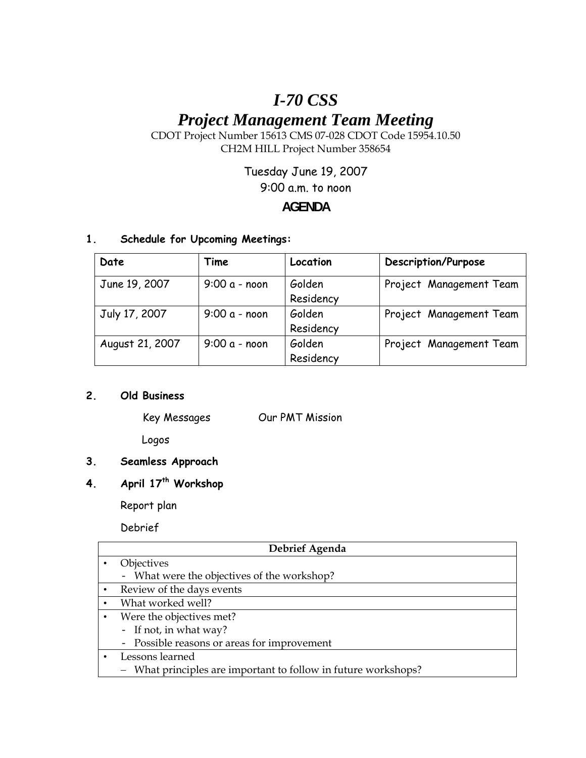# *I-70 CSS*

# *Project Management Team Meeting*

CDOT Project Number 15613 CMS 07-028 CDOT Code 15954.10.50 CH2M HILL Project Number 358654

Tuesday June 19, 2007

9:00 a.m. to noon

## **AGENDA**

#### **1. Schedule for Upcoming Meetings:**

| Date            | Time           | Location  | Description/Purpose     |
|-----------------|----------------|-----------|-------------------------|
| June 19, 2007   | $9:00a - noon$ | Golden    | Project Management Team |
|                 |                | Residency |                         |
| July 17, 2007   | $9:00a - noon$ | Golden    | Project Management Team |
|                 |                | Residency |                         |
| August 21, 2007 | $9:00a - noon$ | Golden    | Project Management Team |
|                 |                | Residency |                         |

#### **2. Old Business**

Key Messages Our PMT Mission

Logos

## **3. Seamless Approach**

# **4. April 17th Workshop**

Report plan

Debrief

| Debrief Agenda |                                                                |  |
|----------------|----------------------------------------------------------------|--|
|                | Objectives                                                     |  |
|                | - What were the objectives of the workshop?                    |  |
| $\bullet$      | Review of the days events                                      |  |
| $\bullet$      | What worked well?                                              |  |
|                | Were the objectives met?                                       |  |
|                | - If not, in what way?                                         |  |
|                | - Possible reasons or areas for improvement                    |  |
|                | Lessons learned                                                |  |
|                | - What principles are important to follow in future workshops? |  |